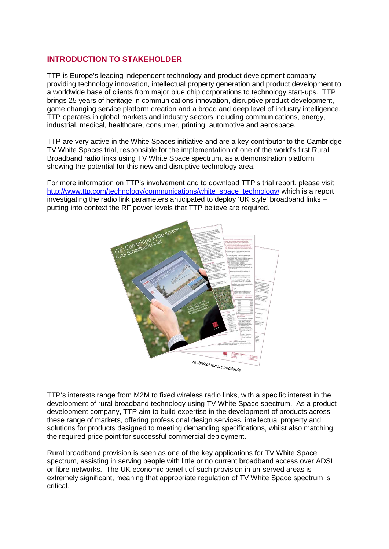# **INTRODUCTION TO STAKEHOLDER**

TTP is Europe's leading independent technology and product development company providing technology innovation, intellectual property generation and product development to a worldwide base of clients from major blue chip corporations to technology start-ups. TTP brings 25 years of heritage in communications innovation, disruptive product development, game changing service platform creation and a broad and deep level of industry intelligence. TTP operates in global markets and industry sectors including communications, energy, industrial, medical, healthcare, consumer, printing, automotive and aerospace.

TTP are very active in the White Spaces initiative and are a key contributor to the Cambridge TV White Spaces trial, responsible for the implementation of one of the world's first Rural Broadband radio links using TV White Space spectrum, as a demonstration platform showing the potential for this new and disruptive technology area.

For more information on TTP's involvement and to download TTP's trial report, please visit: [http://www.ttp.com/technology/communications/white\\_space\\_technology/](http://www.ttp.com/technology/communications/white_space_technology/) which is a report investigating the radio link parameters anticipated to deploy 'UK style' broadband links – putting into context the RF power levels that TTP believe are required.



TTP's interests range from M2M to fixed wireless radio links, with a specific interest in the development of rural broadband technology using TV White Space spectrum. As a product development company, TTP aim to build expertise in the development of products across these range of markets, offering professional design services, intellectual property and solutions for products designed to meeting demanding specifications, whilst also matching the required price point for successful commercial deployment.

Rural broadband provision is seen as one of the key applications for TV White Space spectrum, assisting in serving people with little or no current broadband access over ADSL or fibre networks. The UK economic benefit of such provision in un-served areas is extremely significant, meaning that appropriate regulation of TV White Space spectrum is critical.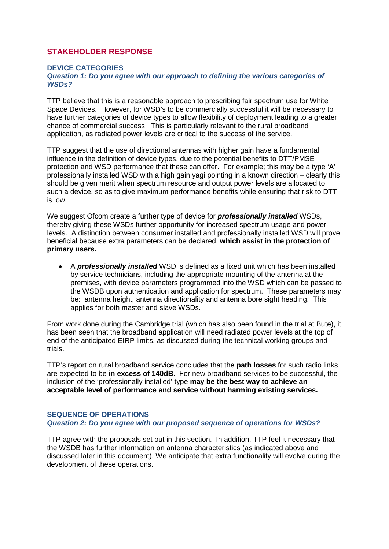# **STAKEHOLDER RESPONSE**

#### **DEVICE CATEGORIES**

#### *Question 1: Do you agree with our approach to defining the various categories of WSDs?*

TTP believe that this is a reasonable approach to prescribing fair spectrum use for White Space Devices. However, for WSD's to be commercially successful it will be necessary to have further categories of device types to allow flexibility of deployment leading to a greater chance of commercial success. This is particularly relevant to the rural broadband application, as radiated power levels are critical to the success of the service.

TTP suggest that the use of directional antennas with higher gain have a fundamental influence in the definition of device types, due to the potential benefits to DTT/PMSE protection and WSD performance that these can offer. For example; this may be a type 'A' professionally installed WSD with a high gain yagi pointing in a known direction – clearly this should be given merit when spectrum resource and output power levels are allocated to such a device, so as to give maximum performance benefits while ensuring that risk to DTT is low.

We suggest Ofcom create a further type of device for *professionally installed* WSDs, thereby giving these WSDs further opportunity for increased spectrum usage and power levels. A distinction between consumer installed and professionally installed WSD will prove beneficial because extra parameters can be declared, **which assist in the protection of primary users.**

• A *professionally installed* WSD is defined as a fixed unit which has been installed by service technicians, including the appropriate mounting of the antenna at the premises, with device parameters programmed into the WSD which can be passed to the WSDB upon authentication and application for spectrum. These parameters may be: antenna height, antenna directionality and antenna bore sight heading. This applies for both master and slave WSDs.

From work done during the Cambridge trial (which has also been found in the trial at Bute), it has been seen that the broadband application will need radiated power levels at the top of end of the anticipated EIRP limits, as discussed during the technical working groups and trials.

TTP's report on rural broadband service concludes that the **path losses** for such radio links are expected to be **in excess of 140dB**. For new broadband services to be successful, the inclusion of the 'professionally installed' type **may be the best way to achieve an acceptable level of performance and service without harming existing services.**

#### **SEQUENCE OF OPERATIONS**

#### *Question 2: Do you agree with our proposed sequence of operations for WSDs?*

TTP agree with the proposals set out in this section. In addition, TTP feel it necessary that the WSDB has further information on antenna characteristics (as indicated above and discussed later in this document). We anticipate that extra functionality will evolve during the development of these operations.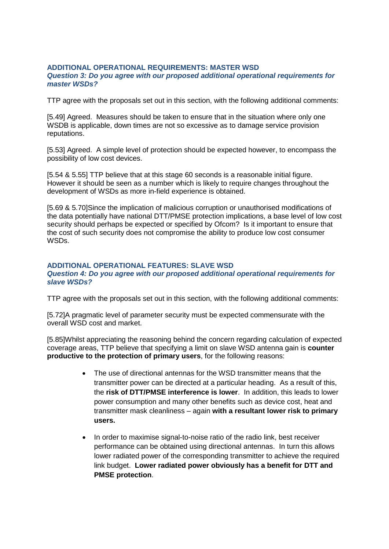#### **ADDITIONAL OPERATIONAL REQUIREMENTS: MASTER WSD** *Question 3: Do you agree with our proposed additional operational requirements for master WSDs?*

TTP agree with the proposals set out in this section, with the following additional comments:

[5.49] Agreed. Measures should be taken to ensure that in the situation where only one WSDB is applicable, down times are not so excessive as to damage service provision reputations.

[5.53] Agreed. A simple level of protection should be expected however, to encompass the possibility of low cost devices.

[5.54 & 5.55] TTP believe that at this stage 60 seconds is a reasonable initial figure. However it should be seen as a number which is likely to require changes throughout the development of WSDs as more in-field experience is obtained.

[5.69 & 5.70]Since the implication of malicious corruption or unauthorised modifications of the data potentially have national DTT/PMSE protection implications, a base level of low cost security should perhaps be expected or specified by Ofcom? Is it important to ensure that the cost of such security does not compromise the ability to produce low cost consumer WSDs.

#### **ADDITIONAL OPERATIONAL FEATURES: SLAVE WSD** *Question 4: Do you agree with our proposed additional operational requirements for slave WSDs?*

TTP agree with the proposals set out in this section, with the following additional comments:

[5.72]A pragmatic level of parameter security must be expected commensurate with the overall WSD cost and market.

[5.85]Whilst appreciating the reasoning behind the concern regarding calculation of expected coverage areas, TTP believe that specifying a limit on slave WSD antenna gain is **counter productive to the protection of primary users**, for the following reasons:

- The use of directional antennas for the WSD transmitter means that the transmitter power can be directed at a particular heading. As a result of this, the **risk of DTT/PMSE interference is lower**. In addition, this leads to lower power consumption and many other benefits such as device cost, heat and transmitter mask cleanliness – again **with a resultant lower risk to primary users.**
- In order to maximise signal-to-noise ratio of the radio link, best receiver performance can be obtained using directional antennas. In turn this allows lower radiated power of the corresponding transmitter to achieve the required link budget. **Lower radiated power obviously has a benefit for DTT and PMSE protection**.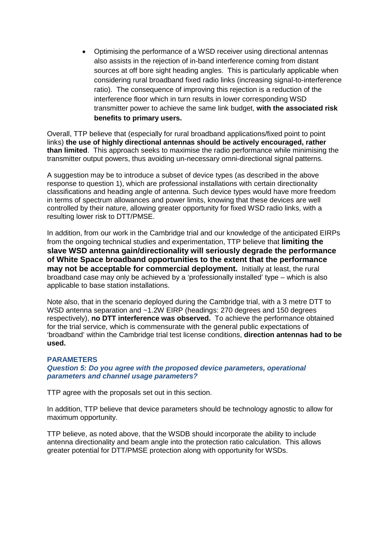• Optimising the performance of a WSD receiver using directional antennas also assists in the rejection of in-band interference coming from distant sources at off bore sight heading angles. This is particularly applicable when considering rural broadband fixed radio links (increasing signal-to-interference ratio). The consequence of improving this rejection is a reduction of the interference floor which in turn results in lower corresponding WSD transmitter power to achieve the same link budget, **with the associated risk benefits to primary users.**

Overall, TTP believe that (especially for rural broadband applications/fixed point to point links) **the use of highly directional antennas should be actively encouraged, rather than limited**. This approach seeks to maximise the radio performance while minimising the transmitter output powers, thus avoiding un-necessary omni-directional signal patterns.

A suggestion may be to introduce a subset of device types (as described in the above response to question 1), which are professional installations with certain directionality classifications and heading angle of antenna. Such device types would have more freedom in terms of spectrum allowances and power limits, knowing that these devices are well controlled by their nature, allowing greater opportunity for fixed WSD radio links, with a resulting lower risk to DTT/PMSE.

In addition, from our work in the Cambridge trial and our knowledge of the anticipated EIRPs from the ongoing technical studies and experimentation, TTP believe that **limiting the slave WSD antenna gain/directionality will seriously degrade the performance of White Space broadband opportunities to the extent that the performance may not be acceptable for commercial deployment.** Initially at least, the rural broadband case may only be achieved by a 'professionally installed' type – which is also applicable to base station installations.

Note also, that in the scenario deployed during the Cambridge trial, with a 3 metre DTT to WSD antenna separation and ~1.2W EIRP (headings: 270 degrees and 150 degrees respectively), **no DTT interference was observed.** To achieve the performance obtained for the trial service, which is commensurate with the general public expectations of 'broadband' within the Cambridge trial test license conditions, **direction antennas had to be used.**

## **PARAMETERS**

*Question 5: Do you agree with the proposed device parameters, operational parameters and channel usage parameters?*

TTP agree with the proposals set out in this section.

In addition, TTP believe that device parameters should be technology agnostic to allow for maximum opportunity.

TTP believe, as noted above, that the WSDB should incorporate the ability to include antenna directionality and beam angle into the protection ratio calculation. This allows greater potential for DTT/PMSE protection along with opportunity for WSDs.